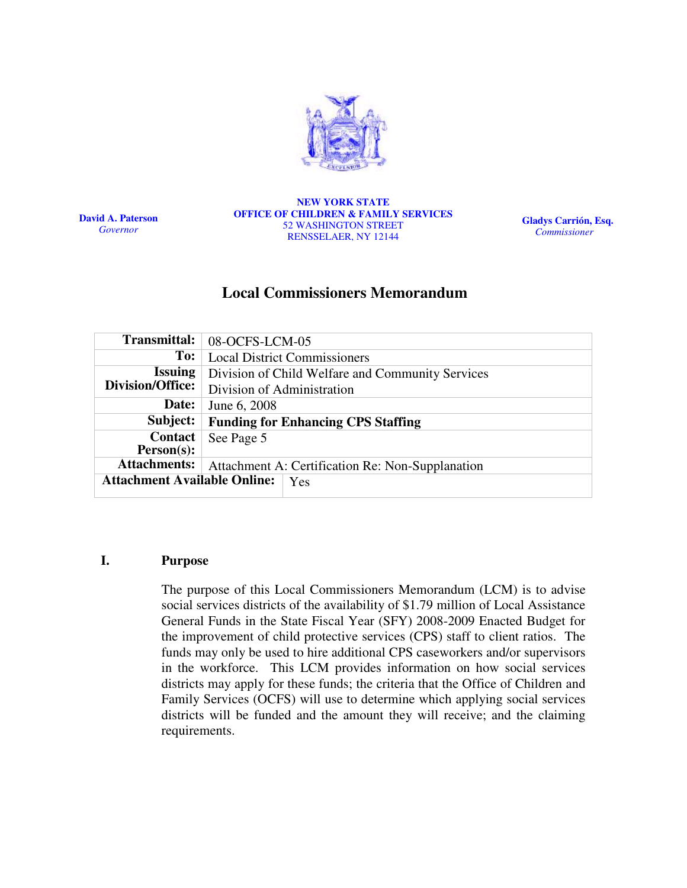

David A. Paterson Governor

NEW YORK STATE OFFICE OF CHILDREN & FAMILY SERVICES 52 WASHINGTON STREET RENSSELAER, NY 12144

Gladys Carrión, Esq. Commissioner

# Local Commissioners Memorandum

| <b>Transmittal:</b>                        | 08-OCFS-LCM-05                                   |
|--------------------------------------------|--------------------------------------------------|
| To:                                        | <b>Local District Commissioners</b>              |
| <b>Issuing</b>                             | Division of Child Welfare and Community Services |
| Division/Office:                           | Division of Administration                       |
| Date:                                      | June 6, 2008                                     |
| Subject:                                   | <b>Funding for Enhancing CPS Staffing</b>        |
| <b>Contact</b>                             | See Page 5                                       |
| $Person(s)$ :                              |                                                  |
| <b>Attachments:</b>                        | Attachment A: Certification Re: Non-Supplanation |
| <b>Attachment Available Online:</b><br>Yes |                                                  |
|                                            |                                                  |

#### I. Purpose

The purpose of this Local Commissioners Memorandum (LCM) is to advise social services districts of the availability of \$1.79 million of Local Assistance General Funds in the State Fiscal Year (SFY) 2008-2009 Enacted Budget for the improvement of child protective services (CPS) staff to client ratios. The funds may only be used to hire additional CPS caseworkers and/or supervisors in the workforce. This LCM provides information on how social services districts may apply for these funds; the criteria that the Office of Children and Family Services (OCFS) will use to determine which applying social services districts will be funded and the amount they will receive; and the claiming requirements.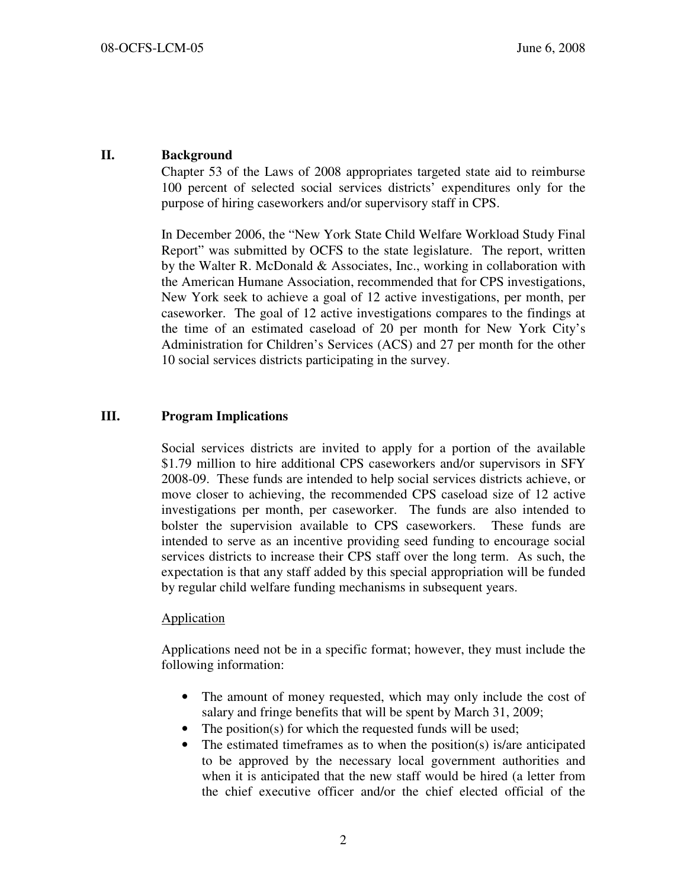## II. Background

Chapter 53 of the Laws of 2008 appropriates targeted state aid to reimburse 100 percent of selected social services districts' expenditures only for the purpose of hiring caseworkers and/or supervisory staff in CPS.

In December 2006, the "New York State Child Welfare Workload Study Final Report" was submitted by OCFS to the state legislature. The report, written by the Walter R. McDonald & Associates, Inc., working in collaboration with the American Humane Association, recommended that for CPS investigations, New York seek to achieve a goal of 12 active investigations, per month, per caseworker. The goal of 12 active investigations compares to the findings at the time of an estimated caseload of 20 per month for New York City's Administration for Children's Services (ACS) and 27 per month for the other 10 social services districts participating in the survey.

## III. Program Implications

Social services districts are invited to apply for a portion of the available \$1.79 million to hire additional CPS caseworkers and/or supervisors in SFY 2008-09. These funds are intended to help social services districts achieve, or move closer to achieving, the recommended CPS caseload size of 12 active investigations per month, per caseworker. The funds are also intended to bolster the supervision available to CPS caseworkers. These funds are intended to serve as an incentive providing seed funding to encourage social services districts to increase their CPS staff over the long term. As such, the expectation is that any staff added by this special appropriation will be funded by regular child welfare funding mechanisms in subsequent years.

#### Application

Applications need not be in a specific format; however, they must include the following information:

- The amount of money requested, which may only include the cost of salary and fringe benefits that will be spent by March 31, 2009;
- The position(s) for which the requested funds will be used;
- The estimated timeframes as to when the position(s) is/are anticipated to be approved by the necessary local government authorities and when it is anticipated that the new staff would be hired (a letter from the chief executive officer and/or the chief elected official of the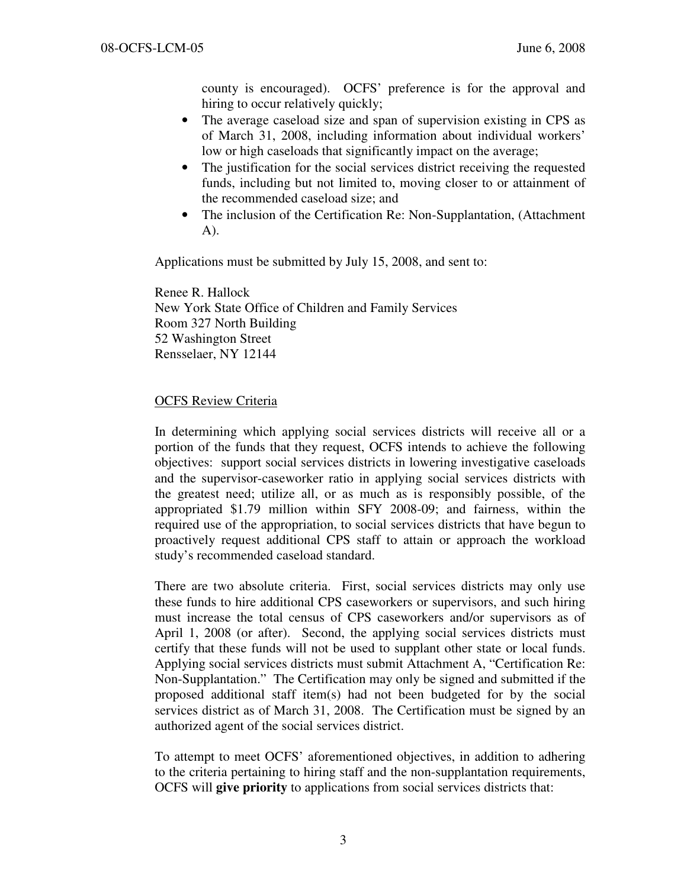county is encouraged). OCFS' preference is for the approval and hiring to occur relatively quickly;

- The average caseload size and span of supervision existing in CPS as of March 31, 2008, including information about individual workers' low or high caseloads that significantly impact on the average;
- The justification for the social services district receiving the requested funds, including but not limited to, moving closer to or attainment of the recommended caseload size; and
- The inclusion of the Certification Re: Non-Supplantation, (Attachment A).

Applications must be submitted by July 15, 2008, and sent to:

 Renee R. Hallock New York State Office of Children and Family Services Room 327 North Building 52 Washington Street Rensselaer, NY 12144

## OCFS Review Criteria

In determining which applying social services districts will receive all or a portion of the funds that they request, OCFS intends to achieve the following objectives: support social services districts in lowering investigative caseloads and the supervisor-caseworker ratio in applying social services districts with the greatest need; utilize all, or as much as is responsibly possible, of the appropriated \$1.79 million within SFY 2008-09; and fairness, within the required use of the appropriation, to social services districts that have begun to proactively request additional CPS staff to attain or approach the workload study's recommended caseload standard.

There are two absolute criteria. First, social services districts may only use these funds to hire additional CPS caseworkers or supervisors, and such hiring must increase the total census of CPS caseworkers and/or supervisors as of April 1, 2008 (or after). Second, the applying social services districts must certify that these funds will not be used to supplant other state or local funds. Applying social services districts must submit Attachment A, "Certification Re: Non-Supplantation." The Certification may only be signed and submitted if the proposed additional staff item(s) had not been budgeted for by the social services district as of March 31, 2008. The Certification must be signed by an authorized agent of the social services district.

To attempt to meet OCFS' aforementioned objectives, in addition to adhering to the criteria pertaining to hiring staff and the non-supplantation requirements, OCFS will give priority to applications from social services districts that: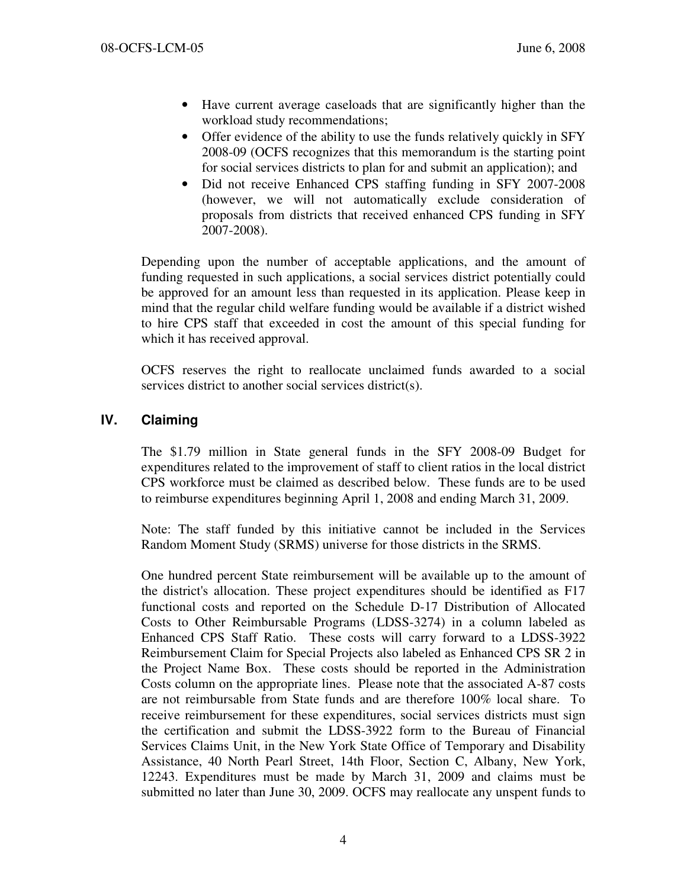- Have current average caseloads that are significantly higher than the workload study recommendations;
- Offer evidence of the ability to use the funds relatively quickly in SFY 2008-09 (OCFS recognizes that this memorandum is the starting point for social services districts to plan for and submit an application); and
- Did not receive Enhanced CPS staffing funding in SFY 2007-2008 (however, we will not automatically exclude consideration of proposals from districts that received enhanced CPS funding in SFY 2007-2008).

Depending upon the number of acceptable applications, and the amount of funding requested in such applications, a social services district potentially could be approved for an amount less than requested in its application. Please keep in mind that the regular child welfare funding would be available if a district wished to hire CPS staff that exceeded in cost the amount of this special funding for which it has received approval.

OCFS reserves the right to reallocate unclaimed funds awarded to a social services district to another social services district(s).

# IV. Claiming

The \$1.79 million in State general funds in the SFY 2008-09 Budget for expenditures related to the improvement of staff to client ratios in the local district CPS workforce must be claimed as described below. These funds are to be used to reimburse expenditures beginning April 1, 2008 and ending March 31, 2009.

Note: The staff funded by this initiative cannot be included in the Services Random Moment Study (SRMS) universe for those districts in the SRMS.

One hundred percent State reimbursement will be available up to the amount of the district's allocation. These project expenditures should be identified as F17 functional costs and reported on the Schedule D-17 Distribution of Allocated Costs to Other Reimbursable Programs (LDSS-3274) in a column labeled as Enhanced CPS Staff Ratio. These costs will carry forward to a LDSS-3922 Reimbursement Claim for Special Projects also labeled as Enhanced CPS SR 2 in the Project Name Box. These costs should be reported in the Administration Costs column on the appropriate lines. Please note that the associated A-87 costs are not reimbursable from State funds and are therefore 100% local share. To receive reimbursement for these expenditures, social services districts must sign the certification and submit the LDSS-3922 form to the Bureau of Financial Services Claims Unit, in the New York State Office of Temporary and Disability Assistance, 40 North Pearl Street, 14th Floor, Section C, Albany, New York, 12243. Expenditures must be made by March 31, 2009 and claims must be submitted no later than June 30, 2009. OCFS may reallocate any unspent funds to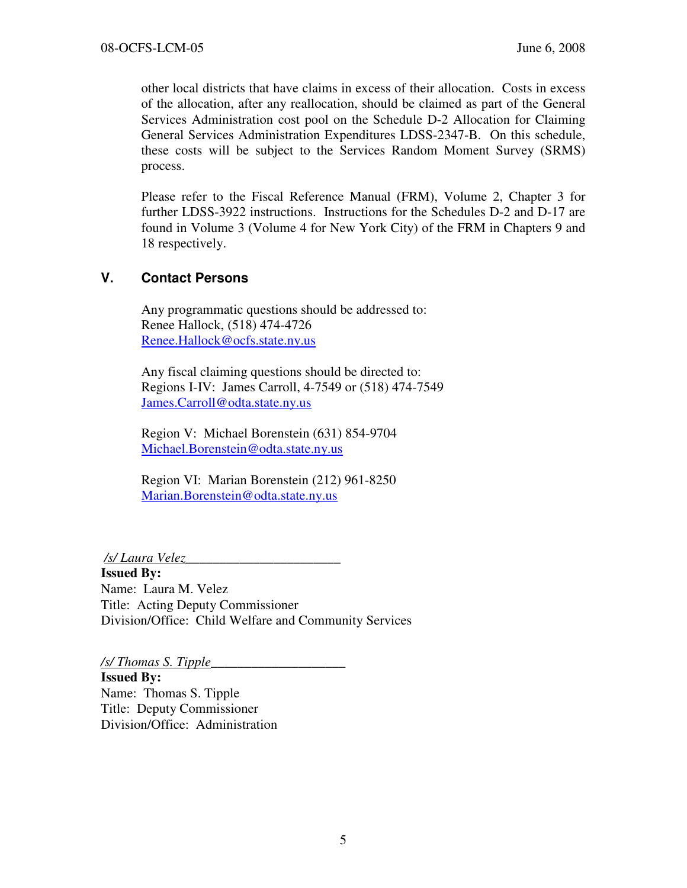other local districts that have claims in excess of their allocation. Costs in excess of the allocation, after any reallocation, should be claimed as part of the General Services Administration cost pool on the Schedule D-2 Allocation for Claiming General Services Administration Expenditures LDSS-2347-B. On this schedule, these costs will be subject to the Services Random Moment Survey (SRMS) process.

Please refer to the Fiscal Reference Manual (FRM), Volume 2, Chapter 3 for further LDSS-3922 instructions. Instructions for the Schedules D-2 and D-17 are found in Volume 3 (Volume 4 for New York City) of the FRM in Chapters 9 and 18 respectively.

# V. Contact Persons

Any programmatic questions should be addressed to: Renee Hallock, (518) 474-4726 Renee.Hallock@ocfs.state.ny.us

Any fiscal claiming questions should be directed to: Regions I-IV: James Carroll, 4-7549 or (518) 474-7549 James.Carroll@odta.state.ny.us

Region V: Michael Borenstein (631) 854-9704 Michael.Borenstein@odta.state.ny.us

Region VI: Marian Borenstein (212) 961-8250 Marian.Borenstein@odta.state.ny.us

/s/ Laura Velez\_\_\_\_\_\_\_\_\_\_\_\_\_\_\_\_\_\_\_\_\_\_\_

Issued By: Name: Laura M. Velez Title: Acting Deputy Commissioner Division/Office: Child Welfare and Community Services

 $\frac{1}{s}$  Thomas S. Tipple

Issued By: Name: Thomas S. Tipple Title: Deputy Commissioner Division/Office: Administration